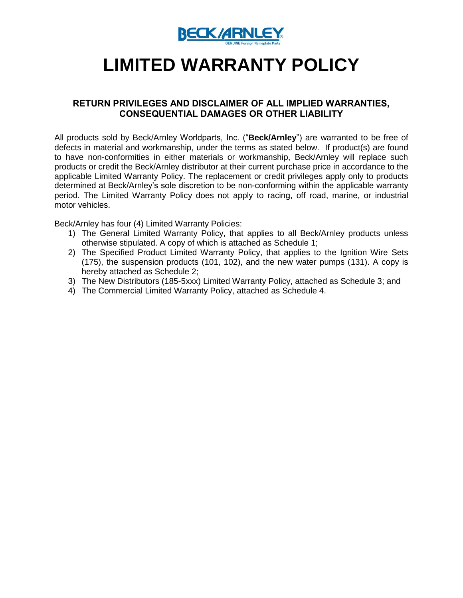

# **LIMITED WARRANTY POLICY**

## **RETURN PRIVILEGES AND DISCLAIMER OF ALL IMPLIED WARRANTIES, CONSEQUENTIAL DAMAGES OR OTHER LIABILITY**

All products sold by Beck/Arnley Worldparts, Inc. ("**Beck/Arnley**") are warranted to be free of defects in material and workmanship, under the terms as stated below. If product(s) are found to have non-conformities in either materials or workmanship, Beck/Arnley will replace such products or credit the Beck/Arnley distributor at their current purchase price in accordance to the applicable Limited Warranty Policy. The replacement or credit privileges apply only to products determined at Beck/Arnley's sole discretion to be non-conforming within the applicable warranty period. The Limited Warranty Policy does not apply to racing, off road, marine, or industrial motor vehicles.

Beck/Arnley has four (4) Limited Warranty Policies:

- 1) The General Limited Warranty Policy, that applies to all Beck/Arnley products unless otherwise stipulated. A copy of which is attached as Schedule 1;
- 2) The Specified Product Limited Warranty Policy, that applies to the Ignition Wire Sets (175), the suspension products (101, 102), and the new water pumps (131). A copy is hereby attached as Schedule 2;
- 3) The New Distributors (185-5xxx) Limited Warranty Policy, attached as Schedule 3; and
- 4) The Commercial Limited Warranty Policy, attached as Schedule 4.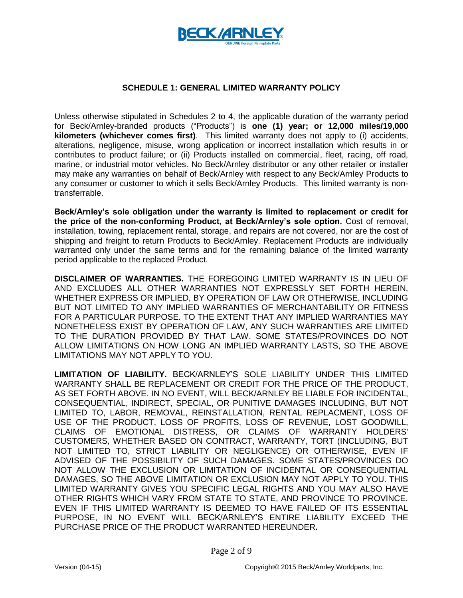

#### **SCHEDULE 1: GENERAL LIMITED WARRANTY POLICY**

Unless otherwise stipulated in Schedules 2 to 4, the applicable duration of the warranty period for Beck/Arnley-branded products ("Products") is **one (1) year; or 12,000 miles/19,000 kilometers (whichever comes first)**. This limited warranty does not apply to (i) accidents, alterations, negligence, misuse, wrong application or incorrect installation which results in or contributes to product failure; or (ii) Products installed on commercial, fleet, racing, off road, marine, or industrial motor vehicles. No Beck/Arnley distributor or any other retailer or installer may make any warranties on behalf of Beck/Arnley with respect to any Beck/Arnley Products to any consumer or customer to which it sells Beck/Arnley Products. This limited warranty is nontransferrable.

**Beck/Arnley's sole obligation under the warranty is limited to replacement or credit for the price of the non-conforming Product, at Beck/Arnley's sole option.** Cost of removal, installation, towing, replacement rental, storage, and repairs are not covered, nor are the cost of shipping and freight to return Products to Beck/Arnley. Replacement Products are individually warranted only under the same terms and for the remaining balance of the limited warranty period applicable to the replaced Product.

**DISCLAIMER OF WARRANTIES.** THE FOREGOING LIMITED WARRANTY IS IN LIEU OF AND EXCLUDES ALL OTHER WARRANTIES NOT EXPRESSLY SET FORTH HEREIN, WHETHER EXPRESS OR IMPLIED, BY OPERATION OF LAW OR OTHERWISE, INCLUDING BUT NOT LIMITED TO ANY IMPLIED WARRANTIES OF MERCHANTABILITY OR FITNESS FOR A PARTICULAR PURPOSE. TO THE EXTENT THAT ANY IMPLIED WARRANTIES MAY NONETHELESS EXIST BY OPERATION OF LAW, ANY SUCH WARRANTIES ARE LIMITED TO THE DURATION PROVIDED BY THAT LAW. SOME STATES/PROVINCES DO NOT ALLOW LIMITATIONS ON HOW LONG AN IMPLIED WARRANTY LASTS, SO THE ABOVE LIMITATIONS MAY NOT APPLY TO YOU.

**LIMITATION OF LIABILITY.** BECK/ARNLEY'S SOLE LIABILITY UNDER THIS LIMITED WARRANTY SHALL BE REPLACEMENT OR CREDIT FOR THE PRICE OF THE PRODUCT, AS SET FORTH ABOVE. IN NO EVENT, WILL BECK/ARNLEY BE LIABLE FOR INCIDENTAL, CONSEQUENTIAL, INDIRECT, SPECIAL, OR PUNITIVE DAMAGES INCLUDING, BUT NOT LIMITED TO, LABOR, REMOVAL, REINSTALLATION, RENTAL REPLACMENT, LOSS OF USE OF THE PRODUCT, LOSS OF PROFITS, LOSS OF REVENUE, LOST GOODWILL, CLAIMS OF EMOTIONAL DISTRESS, OR CLAIMS OF WARRANTY HOLDERS' CUSTOMERS, WHETHER BASED ON CONTRACT, WARRANTY, TORT (INCLUDING, BUT NOT LIMITED TO, STRICT LIABILITY OR NEGLIGENCE) OR OTHERWISE, EVEN IF ADVISED OF THE POSSIBILITY OF SUCH DAMAGES. SOME STATES/PROVINCES DO NOT ALLOW THE EXCLUSION OR LIMITATION OF INCIDENTAL OR CONSEQUENTIAL DAMAGES, SO THE ABOVE LIMITATION OR EXCLUSION MAY NOT APPLY TO YOU. THIS LIMITED WARRANTY GIVES YOU SPECIFIC LEGAL RIGHTS AND YOU MAY ALSO HAVE OTHER RIGHTS WHICH VARY FROM STATE TO STATE, AND PROVINCE TO PROVINCE. EVEN IF THIS LIMITED WARRANTY IS DEEMED TO HAVE FAILED OF ITS ESSENTIAL PURPOSE, IN NO EVENT WILL BECK/ARNLEY'S ENTIRE LIABILITY EXCEED THE PURCHASE PRICE OF THE PRODUCT WARRANTED HEREUNDER**.**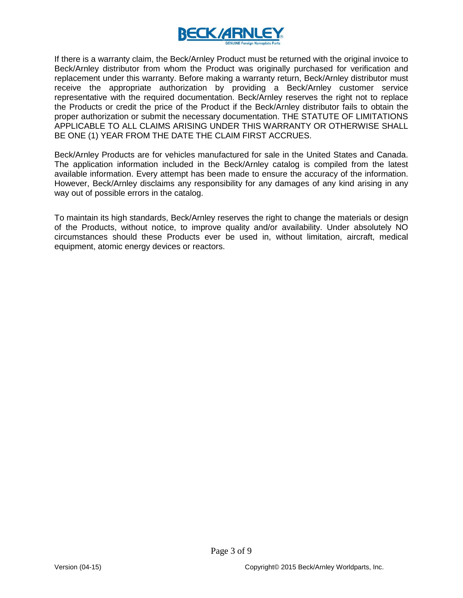

If there is a warranty claim, the Beck/Arnley Product must be returned with the original invoice to Beck/Arnley distributor from whom the Product was originally purchased for verification and replacement under this warranty. Before making a warranty return, Beck/Arnley distributor must receive the appropriate authorization by providing a Beck/Arnley customer service representative with the required documentation. Beck/Arnley reserves the right not to replace the Products or credit the price of the Product if the Beck/Arnley distributor fails to obtain the proper authorization or submit the necessary documentation. THE STATUTE OF LIMITATIONS APPLICABLE TO ALL CLAIMS ARISING UNDER THIS WARRANTY OR OTHERWISE SHALL BE ONE (1) YEAR FROM THE DATE THE CLAIM FIRST ACCRUES.

Beck/Arnley Products are for vehicles manufactured for sale in the United States and Canada. The application information included in the Beck/Arnley catalog is compiled from the latest available information. Every attempt has been made to ensure the accuracy of the information. However, Beck/Arnley disclaims any responsibility for any damages of any kind arising in any way out of possible errors in the catalog.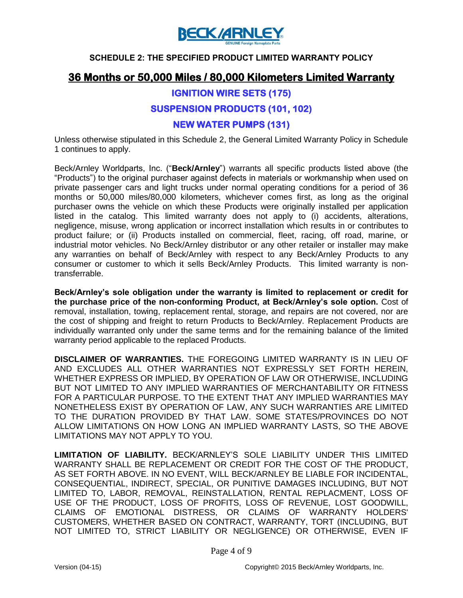

#### **SCHEDULE 2: THE SPECIFIED PRODUCT LIMITED WARRANTY POLICY**

# **36 Months or 50,000 Miles / 80,000 Kilometers Limited Warranty**

## **IGNITION WIRE SETS (175)**

## **SUSPENSION PRODUCTS (101, 102)**

## **NEW WATER PUMPS (131)**

Unless otherwise stipulated in this Schedule 2, the General Limited Warranty Policy in Schedule 1 continues to apply.

Beck/Arnley Worldparts, Inc. ("**Beck/Arnley**") warrants all specific products listed above (the "Products") to the original purchaser against defects in materials or workmanship when used on private passenger cars and light trucks under normal operating conditions for a period of 36 months or 50,000 miles/80,000 kilometers, whichever comes first, as long as the original purchaser owns the vehicle on which these Products were originally installed per application listed in the catalog. This limited warranty does not apply to (i) accidents, alterations, negligence, misuse, wrong application or incorrect installation which results in or contributes to product failure; or (ii) Products installed on commercial, fleet, racing, off road, marine, or industrial motor vehicles. No Beck/Arnley distributor or any other retailer or installer may make any warranties on behalf of Beck/Arnley with respect to any Beck/Arnley Products to any consumer or customer to which it sells Beck/Arnley Products. This limited warranty is nontransferrable.

**Beck/Arnley's sole obligation under the warranty is limited to replacement or credit for the purchase price of the non-conforming Product, at Beck/Arnley's sole option.** Cost of removal, installation, towing, replacement rental, storage, and repairs are not covered, nor are the cost of shipping and freight to return Products to Beck/Arnley. Replacement Products are individually warranted only under the same terms and for the remaining balance of the limited warranty period applicable to the replaced Products.

**DISCLAIMER OF WARRANTIES.** THE FOREGOING LIMITED WARRANTY IS IN LIEU OF AND EXCLUDES ALL OTHER WARRANTIES NOT EXPRESSLY SET FORTH HEREIN, WHETHER EXPRESS OR IMPLIED, BY OPERATION OF LAW OR OTHERWISE, INCLUDING BUT NOT LIMITED TO ANY IMPLIED WARRANTIES OF MERCHANTABILITY OR FITNESS FOR A PARTICULAR PURPOSE. TO THE EXTENT THAT ANY IMPLIED WARRANTIES MAY NONETHELESS EXIST BY OPERATION OF LAW, ANY SUCH WARRANTIES ARE LIMITED TO THE DURATION PROVIDED BY THAT LAW. SOME STATES/PROVINCES DO NOT ALLOW LIMITATIONS ON HOW LONG AN IMPLIED WARRANTY LASTS, SO THE ABOVE LIMITATIONS MAY NOT APPLY TO YOU.

**LIMITATION OF LIABILITY.** BECK/ARNLEY'S SOLE LIABILITY UNDER THIS LIMITED WARRANTY SHALL BE REPLACEMENT OR CREDIT FOR THE COST OF THE PRODUCT, AS SET FORTH ABOVE. IN NO EVENT, WILL BECK/ARNLEY BE LIABLE FOR INCIDENTAL, CONSEQUENTIAL, INDIRECT, SPECIAL, OR PUNITIVE DAMAGES INCLUDING, BUT NOT LIMITED TO, LABOR, REMOVAL, REINSTALLATION, RENTAL REPLACMENT, LOSS OF USE OF THE PRODUCT, LOSS OF PROFITS, LOSS OF REVENUE, LOST GOODWILL, CLAIMS OF EMOTIONAL DISTRESS, OR CLAIMS OF WARRANTY HOLDERS' CUSTOMERS, WHETHER BASED ON CONTRACT, WARRANTY, TORT (INCLUDING, BUT NOT LIMITED TO, STRICT LIABILITY OR NEGLIGENCE) OR OTHERWISE, EVEN IF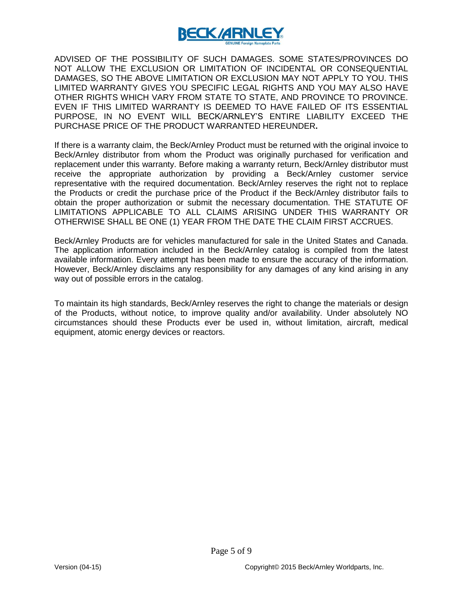

ADVISED OF THE POSSIBILITY OF SUCH DAMAGES. SOME STATES/PROVINCES DO NOT ALLOW THE EXCLUSION OR LIMITATION OF INCIDENTAL OR CONSEQUENTIAL DAMAGES, SO THE ABOVE LIMITATION OR EXCLUSION MAY NOT APPLY TO YOU. THIS LIMITED WARRANTY GIVES YOU SPECIFIC LEGAL RIGHTS AND YOU MAY ALSO HAVE OTHER RIGHTS WHICH VARY FROM STATE TO STATE, AND PROVINCE TO PROVINCE. EVEN IF THIS LIMITED WARRANTY IS DEEMED TO HAVE FAILED OF ITS ESSENTIAL PURPOSE, IN NO EVENT WILL BECK/ARNLEY'S ENTIRE LIABILITY EXCEED THE PURCHASE PRICE OF THE PRODUCT WARRANTED HEREUNDER**.**

If there is a warranty claim, the Beck/Arnley Product must be returned with the original invoice to Beck/Arnley distributor from whom the Product was originally purchased for verification and replacement under this warranty. Before making a warranty return, Beck/Arnley distributor must receive the appropriate authorization by providing a Beck/Arnley customer service representative with the required documentation. Beck/Arnley reserves the right not to replace the Products or credit the purchase price of the Product if the Beck/Arnley distributor fails to obtain the proper authorization or submit the necessary documentation. THE STATUTE OF LIMITATIONS APPLICABLE TO ALL CLAIMS ARISING UNDER THIS WARRANTY OR OTHERWISE SHALL BE ONE (1) YEAR FROM THE DATE THE CLAIM FIRST ACCRUES.

Beck/Arnley Products are for vehicles manufactured for sale in the United States and Canada. The application information included in the Beck/Arnley catalog is compiled from the latest available information. Every attempt has been made to ensure the accuracy of the information. However, Beck/Arnley disclaims any responsibility for any damages of any kind arising in any way out of possible errors in the catalog.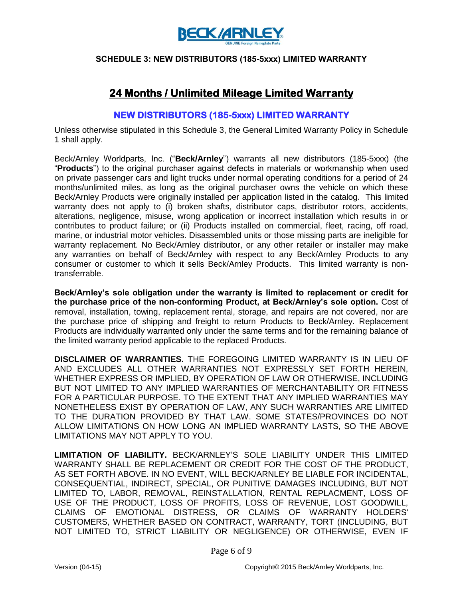

#### **SCHEDULE 3: NEW DISTRIBUTORS (185-5xxx) LIMITED WARRANTY**

# **24 Months / Unlimited Mileage Limited Warranty**

## **NEW DISTRIBUTORS (185-5xxx) LIMITED WARRANTY**

Unless otherwise stipulated in this Schedule 3, the General Limited Warranty Policy in Schedule 1 shall apply.

Beck/Arnley Worldparts, Inc. ("**Beck/Arnley**") warrants all new distributors (185-5xxx) (the "**Products**") to the original purchaser against defects in materials or workmanship when used on private passenger cars and light trucks under normal operating conditions for a period of 24 months/unlimited miles, as long as the original purchaser owns the vehicle on which these Beck/Arnley Products were originally installed per application listed in the catalog. This limited warranty does not apply to (i) broken shafts, distributor caps, distributor rotors, accidents, alterations, negligence, misuse, wrong application or incorrect installation which results in or contributes to product failure; or (ii) Products installed on commercial, fleet, racing, off road, marine, or industrial motor vehicles. Disassembled units or those missing parts are ineligible for warranty replacement. No Beck/Arnley distributor, or any other retailer or installer may make any warranties on behalf of Beck/Arnley with respect to any Beck/Arnley Products to any consumer or customer to which it sells Beck/Arnley Products. This limited warranty is nontransferrable.

**Beck/Arnley's sole obligation under the warranty is limited to replacement or credit for the purchase price of the non-conforming Product, at Beck/Arnley's sole option.** Cost of removal, installation, towing, replacement rental, storage, and repairs are not covered, nor are the purchase price of shipping and freight to return Products to Beck/Arnley. Replacement Products are individually warranted only under the same terms and for the remaining balance of the limited warranty period applicable to the replaced Products.

**DISCLAIMER OF WARRANTIES.** THE FOREGOING LIMITED WARRANTY IS IN LIEU OF AND EXCLUDES ALL OTHER WARRANTIES NOT EXPRESSLY SET FORTH HEREIN, WHETHER EXPRESS OR IMPLIED, BY OPERATION OF LAW OR OTHERWISE, INCLUDING BUT NOT LIMITED TO ANY IMPLIED WARRANTIES OF MERCHANTABILITY OR FITNESS FOR A PARTICULAR PURPOSE. TO THE EXTENT THAT ANY IMPLIED WARRANTIES MAY NONETHELESS EXIST BY OPERATION OF LAW, ANY SUCH WARRANTIES ARE LIMITED TO THE DURATION PROVIDED BY THAT LAW. SOME STATES/PROVINCES DO NOT ALLOW LIMITATIONS ON HOW LONG AN IMPLIED WARRANTY LASTS, SO THE ABOVE LIMITATIONS MAY NOT APPLY TO YOU.

**LIMITATION OF LIABILITY.** BECK/ARNLEY'S SOLE LIABILITY UNDER THIS LIMITED WARRANTY SHALL BE REPLACEMENT OR CREDIT FOR THE COST OF THE PRODUCT, AS SET FORTH ABOVE. IN NO EVENT, WILL BECK/ARNLEY BE LIABLE FOR INCIDENTAL, CONSEQUENTIAL, INDIRECT, SPECIAL, OR PUNITIVE DAMAGES INCLUDING, BUT NOT LIMITED TO, LABOR, REMOVAL, REINSTALLATION, RENTAL REPLACMENT, LOSS OF USE OF THE PRODUCT, LOSS OF PROFITS, LOSS OF REVENUE, LOST GOODWILL, CLAIMS OF EMOTIONAL DISTRESS, OR CLAIMS OF WARRANTY HOLDERS' CUSTOMERS, WHETHER BASED ON CONTRACT, WARRANTY, TORT (INCLUDING, BUT NOT LIMITED TO, STRICT LIABILITY OR NEGLIGENCE) OR OTHERWISE, EVEN IF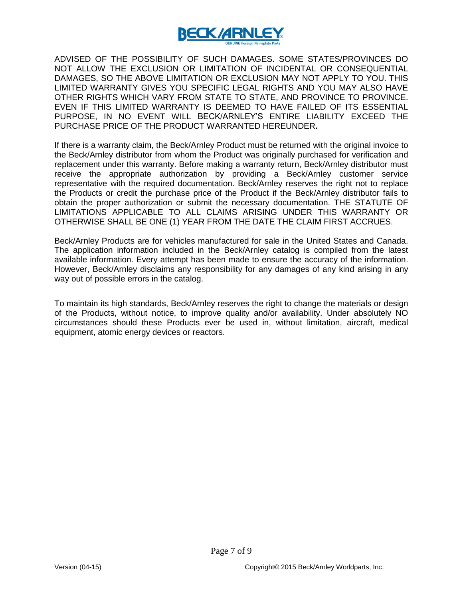

ADVISED OF THE POSSIBILITY OF SUCH DAMAGES. SOME STATES/PROVINCES DO NOT ALLOW THE EXCLUSION OR LIMITATION OF INCIDENTAL OR CONSEQUENTIAL DAMAGES, SO THE ABOVE LIMITATION OR EXCLUSION MAY NOT APPLY TO YOU. THIS LIMITED WARRANTY GIVES YOU SPECIFIC LEGAL RIGHTS AND YOU MAY ALSO HAVE OTHER RIGHTS WHICH VARY FROM STATE TO STATE, AND PROVINCE TO PROVINCE. EVEN IF THIS LIMITED WARRANTY IS DEEMED TO HAVE FAILED OF ITS ESSENTIAL PURPOSE, IN NO EVENT WILL BECK/ARNLEY'S ENTIRE LIABILITY EXCEED THE PURCHASE PRICE OF THE PRODUCT WARRANTED HEREUNDER**.**

If there is a warranty claim, the Beck/Arnley Product must be returned with the original invoice to the Beck/Arnley distributor from whom the Product was originally purchased for verification and replacement under this warranty. Before making a warranty return, Beck/Arnley distributor must receive the appropriate authorization by providing a Beck/Arnley customer service representative with the required documentation. Beck/Arnley reserves the right not to replace the Products or credit the purchase price of the Product if the Beck/Arnley distributor fails to obtain the proper authorization or submit the necessary documentation. THE STATUTE OF LIMITATIONS APPLICABLE TO ALL CLAIMS ARISING UNDER THIS WARRANTY OR OTHERWISE SHALL BE ONE (1) YEAR FROM THE DATE THE CLAIM FIRST ACCRUES.

Beck/Arnley Products are for vehicles manufactured for sale in the United States and Canada. The application information included in the Beck/Arnley catalog is compiled from the latest available information. Every attempt has been made to ensure the accuracy of the information. However, Beck/Arnley disclaims any responsibility for any damages of any kind arising in any way out of possible errors in the catalog.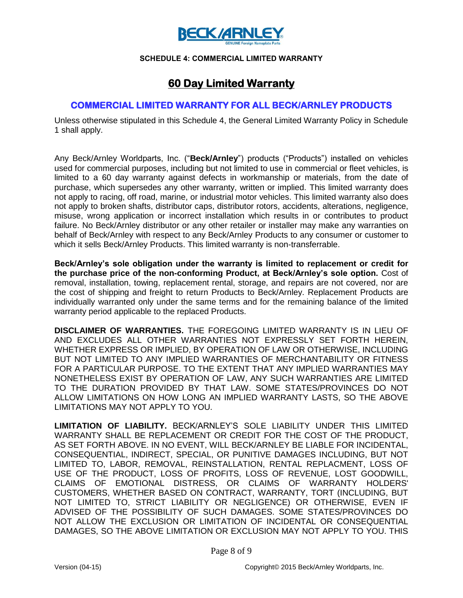

#### **SCHEDULE 4: COMMERCIAL LIMITED WARRANTY**

# **60 Day Limited Warranty**

#### **COMMERCIAL LIMITED WARRANTY FOR ALL BECK/ARNLEY PRODUCTS**

Unless otherwise stipulated in this Schedule 4, the General Limited Warranty Policy in Schedule 1 shall apply.

Any Beck/Arnley Worldparts, Inc. ("**Beck/Arnley**") products ("Products") installed on vehicles used for commercial purposes, including but not limited to use in commercial or fleet vehicles, is limited to a 60 day warranty against defects in workmanship or materials, from the date of purchase, which supersedes any other warranty, written or implied. This limited warranty does not apply to racing, off road, marine, or industrial motor vehicles. This limited warranty also does not apply to broken shafts, distributor caps, distributor rotors, accidents, alterations, negligence, misuse, wrong application or incorrect installation which results in or contributes to product failure. No Beck/Arnley distributor or any other retailer or installer may make any warranties on behalf of Beck/Arnley with respect to any Beck/Arnley Products to any consumer or customer to which it sells Beck/Arnley Products. This limited warranty is non-transferrable.

**Beck/Arnley's sole obligation under the warranty is limited to replacement or credit for the purchase price of the non-conforming Product, at Beck/Arnley's sole option.** Cost of removal, installation, towing, replacement rental, storage, and repairs are not covered, nor are the cost of shipping and freight to return Products to Beck/Arnley. Replacement Products are individually warranted only under the same terms and for the remaining balance of the limited warranty period applicable to the replaced Products.

**DISCLAIMER OF WARRANTIES.** THE FOREGOING LIMITED WARRANTY IS IN LIEU OF AND EXCLUDES ALL OTHER WARRANTIES NOT EXPRESSLY SET FORTH HEREIN, WHETHER EXPRESS OR IMPLIED, BY OPERATION OF LAW OR OTHERWISE, INCLUDING BUT NOT LIMITED TO ANY IMPLIED WARRANTIES OF MERCHANTABILITY OR FITNESS FOR A PARTICULAR PURPOSE. TO THE EXTENT THAT ANY IMPLIED WARRANTIES MAY NONETHELESS EXIST BY OPERATION OF LAW, ANY SUCH WARRANTIES ARE LIMITED TO THE DURATION PROVIDED BY THAT LAW. SOME STATES/PROVINCES DO NOT ALLOW LIMITATIONS ON HOW LONG AN IMPLIED WARRANTY LASTS, SO THE ABOVE LIMITATIONS MAY NOT APPLY TO YOU.

**LIMITATION OF LIABILITY.** BECK/ARNLEY'S SOLE LIABILITY UNDER THIS LIMITED WARRANTY SHALL BE REPLACEMENT OR CREDIT FOR THE COST OF THE PRODUCT, AS SET FORTH ABOVE. IN NO EVENT, WILL BECK/ARNLEY BE LIABLE FOR INCIDENTAL, CONSEQUENTIAL, INDIRECT, SPECIAL, OR PUNITIVE DAMAGES INCLUDING, BUT NOT LIMITED TO, LABOR, REMOVAL, REINSTALLATION, RENTAL REPLACMENT, LOSS OF USE OF THE PRODUCT, LOSS OF PROFITS, LOSS OF REVENUE, LOST GOODWILL, CLAIMS OF EMOTIONAL DISTRESS, OR CLAIMS OF WARRANTY HOLDERS' CUSTOMERS, WHETHER BASED ON CONTRACT, WARRANTY, TORT (INCLUDING, BUT NOT LIMITED TO, STRICT LIABILITY OR NEGLIGENCE) OR OTHERWISE, EVEN IF ADVISED OF THE POSSIBILITY OF SUCH DAMAGES. SOME STATES/PROVINCES DO NOT ALLOW THE EXCLUSION OR LIMITATION OF INCIDENTAL OR CONSEQUENTIAL DAMAGES, SO THE ABOVE LIMITATION OR EXCLUSION MAY NOT APPLY TO YOU. THIS